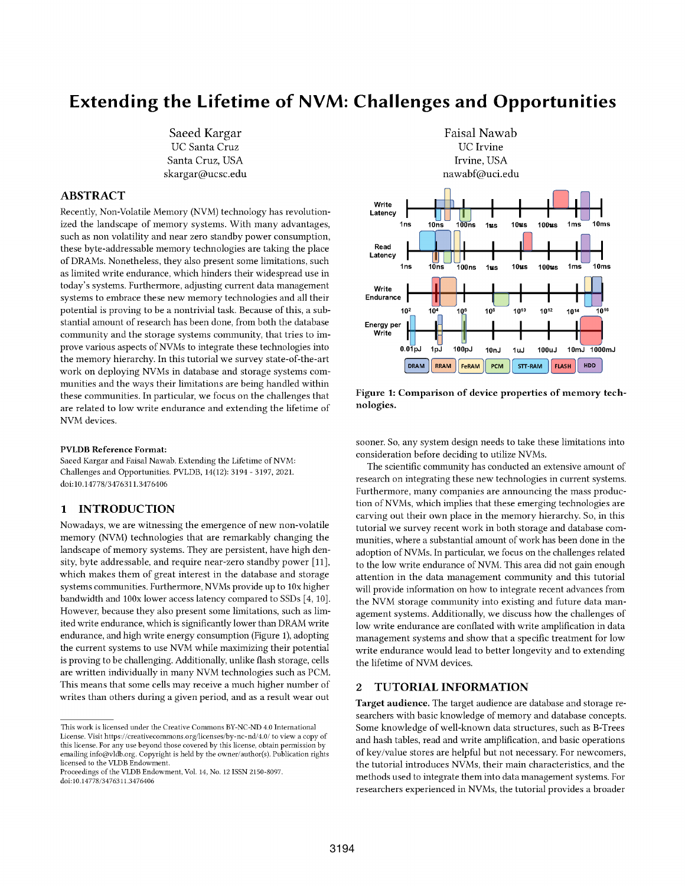# **Extending the Lifetime of NVM: Challenges and Opportunities**

Saeed Kargar UC Santa Cruz Santa Cruz, USA skargar@ucsc.edu

# **ABSTRACT**

Recently, Non-Volatile Memory (NVM) technology has revolutionized the landscape of memory systems. With many advantages, such as non volatility and near zero standby power consumption, these byte-addressable memory technologies are taking the place of DRAMs. Nonetheless, they also present some limitations, such as limited write endurance, which hinders their widespread use in today's systems. Furthermore, adjusting current data management systems to embrace these new memory technologies and all their potential is proving to be a nontrivial task. Because of this, a substantial amount of research has been done, from both the database community and the storage systems community, that tries to improve various aspects of NVMs to integrate these technologies into the memory hierarchy. In this tutorial we survey state-of-the-art work on deploying NVMs in database and storage systems communities and the ways their limitations are being handled within these communities. In particular, we focus on the challenges that are related to low write endurance and extending the lifetime of NVM devices.

#### **PVLDB Reference Format:**

Saeed Kargar and Faisal Nawab. Extending the Lifetime of NVM: Challenges and Opportunities. PVLDB, 14(12): 3194 - 3197, 2021. doi:10.14778/3476311.3476406

#### **INTRODUCTION**  $\mathbf{1}$

Nowadays, we are witnessing the emergence of new non-volatile memory (NVM) technologies that are remarkably changing the landscape of memory systems. They are persistent, have high density, byte addressable, and require near-zero standby power [11], which makes them of great interest in the database and storage systems communities. Furthermore, NVMs provide up to 10x higher bandwidth and 100x lower access latency compared to SSDs [4, 10]. However, because they also present some limitations, such as limited write endurance, which is significantly lower than DRAM write endurance, and high write energy consumption (Figure 1), adopting the current systems to use NVM while maximizing their potential is proving to be challenging. Additionally, unlike flash storage, cells are written individually in many NVM technologies such as PCM. This means that some cells may receive a much higher number of writes than others during a given period, and as a result wear out



Figure 1: Comparison of device properties of memory technologies.

sooner. So, any system design needs to take these limitations into consideration before deciding to utilize NVMs.

The scientific community has conducted an extensive amount of research on integrating these new technologies in current systems. Furthermore, many companies are announcing the mass production of NVMs, which implies that these emerging technologies are carving out their own place in the memory hierarchy. So, in this tutorial we survey recent work in both storage and database communities, where a substantial amount of work has been done in the adoption of NVMs. In particular, we focus on the challenges related to the low write endurance of NVM. This area did not gain enough attention in the data management community and this tutorial will provide information on how to integrate recent advances from the NVM storage community into existing and future data management systems. Additionally, we discuss how the challenges of low write endurance are conflated with write amplification in data management systems and show that a specific treatment for low write endurance would lead to better longevity and to extending the lifetime of NVM devices.

#### $\mathfrak{D}$ **TUTORIAL INFORMATION**

Target audience. The target audience are database and storage researchers with basic knowledge of memory and database concepts. Some knowledge of well-known data structures, such as B-Trees and hash tables, read and write amplification, and basic operations of key/value stores are helpful but not necessary. For newcomers, the tutorial introduces NVMs, their main characteristics, and the methods used to integrate them into data management systems. For researchers experienced in NVMs, the tutorial provides a broader

This work is licensed under the Creative Commons  ${\rm BY\text{-}NC\text{-}ND}$  4.0 International License. Visit https://creativecommons.org/licenses/by-nc-nd/4.0/ to view a copy of this license. For any use beyond those covered by this license, obtain permission by emailing info@vldb.org. Copyright is held by the owner/author(s). Publication rights licensed to the VLDB Endowment.

Proceedings of the VLDB Endowment, Vol. 14, No. 12 ISSN 2150-8097. doi:10.14778/3476311.3476406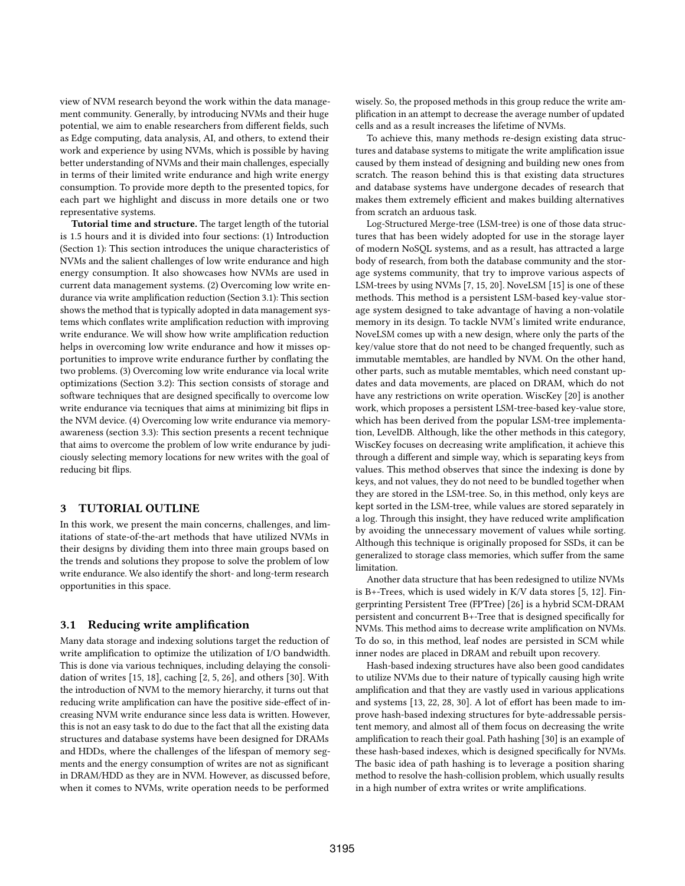view of NVM research beyond the work within the data management community. Generally, by introducing NVMs and their huge potential, we aim to enable researchers from different fields, such as Edge computing, data analysis, AI, and others, to extend their work and experience by using NVMs, which is possible by having better understanding of NVMs and their main challenges, especially in terms of their limited write endurance and high write energy consumption. To provide more depth to the presented topics, for each part we highlight and discuss in more details one or two representative systems.

Tutorial time and structure. The target length of the tutorial is 1.5 hours and it is divided into four sections: (1) Introduction (Section 1): This section introduces the unique characteristics of NVMs and the salient challenges of low write endurance and high energy consumption. It also showcases how NVMs are used in current data management systems. (2) Overcoming low write endurance via write amplification reduction (Section 3.1): This section shows the method that is typically adopted in data management systems which conflates write amplification reduction with improving write endurance. We will show how write amplification reduction helps in overcoming low write endurance and how it misses opportunities to improve write endurance further by conflating the two problems. (3) Overcoming low write endurance via local write optimizations (Section 3.2): This section consists of storage and software techniques that are designed specifically to overcome low write endurance via tecniques that aims at minimizing bit flips in the NVM device. (4) Overcoming low write endurance via memoryawareness (section 3.3): This section presents a recent technique that aims to overcome the problem of low write endurance by judiciously selecting memory locations for new writes with the goal of reducing bit flips.

## 3 TUTORIAL OUTLINE

In this work, we present the main concerns, challenges, and limitations of state-of-the-art methods that have utilized NVMs in their designs by dividing them into three main groups based on the trends and solutions they propose to solve the problem of low write endurance. We also identify the short- and long-term research opportunities in this space.

#### 3.1 Reducing write amplification

Many data storage and indexing solutions target the reduction of write amplification to optimize the utilization of I/O bandwidth. This is done via various techniques, including delaying the consolidation of writes [15, 18], caching [2, 5, 26], and others [30]. With the introduction of NVM to the memory hierarchy, it turns out that reducing write amplification can have the positive side-effect of increasing NVM write endurance since less data is written. However, this is not an easy task to do due to the fact that all the existing data structures and database systems have been designed for DRAMs and HDDs, where the challenges of the lifespan of memory segments and the energy consumption of writes are not as significant in DRAM/HDD as they are in NVM. However, as discussed before, when it comes to NVMs, write operation needs to be performed

wisely. So, the proposed methods in this group reduce the write amplification in an attempt to decrease the average number of updated cells and as a result increases the lifetime of NVMs.

To achieve this, many methods re-design existing data structures and database systems to mitigate the write amplification issue caused by them instead of designing and building new ones from scratch. The reason behind this is that existing data structures and database systems have undergone decades of research that makes them extremely efficient and makes building alternatives from scratch an arduous task.

Log-Structured Merge-tree (LSM-tree) is one of those data structures that has been widely adopted for use in the storage layer of modern NoSQL systems, and as a result, has attracted a large body of research, from both the database community and the storage systems community, that try to improve various aspects of LSM-trees by using NVMs [7, 15, 20]. NoveLSM [15] is one of these methods. This method is a persistent LSM-based key-value storage system designed to take advantage of having a non-volatile memory in its design. To tackle NVM's limited write endurance, NoveLSM comes up with a new design, where only the parts of the key/value store that do not need to be changed frequently, such as immutable memtables, are handled by NVM. On the other hand, other parts, such as mutable memtables, which need constant updates and data movements, are placed on DRAM, which do not have any restrictions on write operation. WiscKey [20] is another work, which proposes a persistent LSM-tree-based key-value store, which has been derived from the popular LSM-tree implementation, LevelDB. Although, like the other methods in this category, WiscKey focuses on decreasing write amplification, it achieve this through a different and simple way, which is separating keys from values. This method observes that since the indexing is done by keys, and not values, they do not need to be bundled together when they are stored in the LSM-tree. So, in this method, only keys are kept sorted in the LSM-tree, while values are stored separately in a log. Through this insight, they have reduced write amplification by avoiding the unnecessary movement of values while sorting. Although this technique is originally proposed for SSDs, it can be generalized to storage class memories, which suffer from the same limitation.

Another data structure that has been redesigned to utilize NVMs is B+-Trees, which is used widely in K/V data stores [5, 12]. Fingerprinting Persistent Tree (FPTree) [26] is a hybrid SCM-DRAM persistent and concurrent B+-Tree that is designed specifically for NVMs. This method aims to decrease write amplification on NVMs. To do so, in this method, leaf nodes are persisted in SCM while inner nodes are placed in DRAM and rebuilt upon recovery.

Hash-based indexing structures have also been good candidates to utilize NVMs due to their nature of typically causing high write amplification and that they are vastly used in various applications and systems [13, 22, 28, 30]. A lot of effort has been made to improve hash-based indexing structures for byte-addressable persistent memory, and almost all of them focus on decreasing the write amplification to reach their goal. Path hashing [30] is an example of these hash-based indexes, which is designed specifically for NVMs. The basic idea of path hashing is to leverage a position sharing method to resolve the hash-collision problem, which usually results in a high number of extra writes or write amplifications.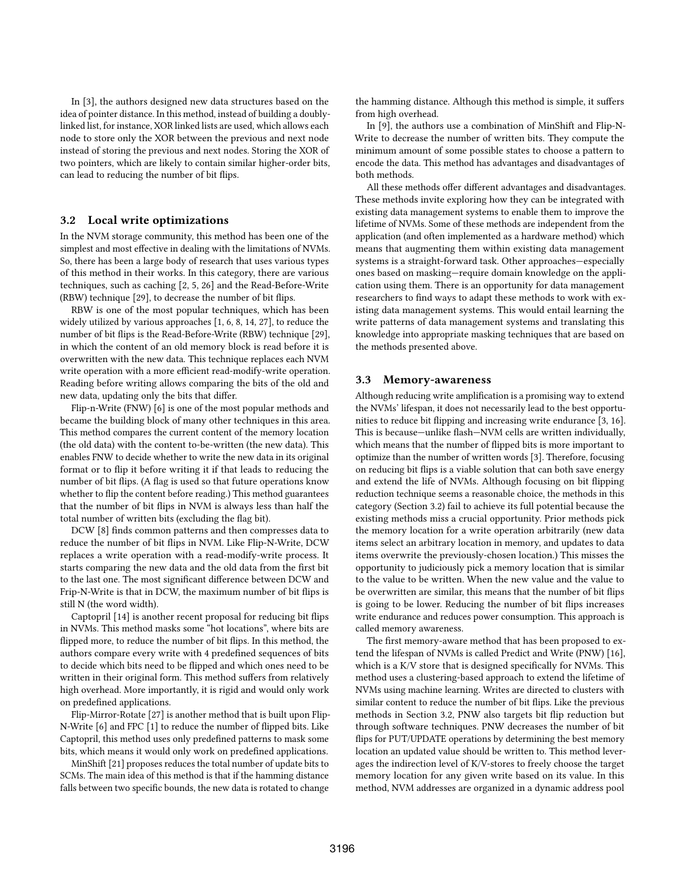In [3], the authors designed new data structures based on the idea of pointer distance. In this method, instead of building a doublylinked list, for instance, XOR linked lists are used, which allows each node to store only the XOR between the previous and next node instead of storing the previous and next nodes. Storing the XOR of two pointers, which are likely to contain similar higher-order bits, can lead to reducing the number of bit flips.

#### 3.2 Local write optimizations

In the NVM storage community, this method has been one of the simplest and most effective in dealing with the limitations of NVMs. So, there has been a large body of research that uses various types of this method in their works. In this category, there are various techniques, such as caching [2, 5, 26] and the Read-Before-Write (RBW) technique [29], to decrease the number of bit flips.

RBW is one of the most popular techniques, which has been widely utilized by various approaches [1, 6, 8, 14, 27], to reduce the number of bit flips is the Read-Before-Write (RBW) technique [29], in which the content of an old memory block is read before it is overwritten with the new data. This technique replaces each NVM write operation with a more efficient read-modify-write operation. Reading before writing allows comparing the bits of the old and new data, updating only the bits that differ.

Flip-n-Write (FNW) [6] is one of the most popular methods and became the building block of many other techniques in this area. This method compares the current content of the memory location (the old data) with the content to-be-written (the new data). This enables FNW to decide whether to write the new data in its original format or to flip it before writing it if that leads to reducing the number of bit flips. (A flag is used so that future operations know whether to flip the content before reading.) This method guarantees that the number of bit flips in NVM is always less than half the total number of written bits (excluding the flag bit).

DCW [8] finds common patterns and then compresses data to reduce the number of bit flips in NVM. Like Flip-N-Write, DCW replaces a write operation with a read-modify-write process. It starts comparing the new data and the old data from the first bit to the last one. The most significant difference between DCW and Frip-N-Write is that in DCW, the maximum number of bit flips is still N (the word width).

Captopril [14] is another recent proposal for reducing bit flips in NVMs. This method masks some "hot locations", where bits are flipped more, to reduce the number of bit flips. In this method, the authors compare every write with 4 predefined sequences of bits to decide which bits need to be flipped and which ones need to be written in their original form. This method suffers from relatively high overhead. More importantly, it is rigid and would only work on predefined applications.

Flip-Mirror-Rotate [27] is another method that is built upon Flip-N-Write [6] and FPC [1] to reduce the number of flipped bits. Like Captopril, this method uses only predefined patterns to mask some bits, which means it would only work on predefined applications.

MinShift [21] proposes reduces the total number of update bits to SCMs. The main idea of this method is that if the hamming distance falls between two specific bounds, the new data is rotated to change the hamming distance. Although this method is simple, it suffers from high overhead.

In [9], the authors use a combination of MinShift and Flip-N-Write to decrease the number of written bits. They compute the minimum amount of some possible states to choose a pattern to encode the data. This method has advantages and disadvantages of both methods.

All these methods offer different advantages and disadvantages. These methods invite exploring how they can be integrated with existing data management systems to enable them to improve the lifetime of NVMs. Some of these methods are independent from the application (and often implemented as a hardware method) which means that augmenting them within existing data management systems is a straight-forward task. Other approaches—especially ones based on masking—require domain knowledge on the application using them. There is an opportunity for data management researchers to find ways to adapt these methods to work with existing data management systems. This would entail learning the write patterns of data management systems and translating this knowledge into appropriate masking techniques that are based on the methods presented above.

#### 3.3 Memory-awareness

Although reducing write amplification is a promising way to extend the NVMs' lifespan, it does not necessarily lead to the best opportunities to reduce bit flipping and increasing write endurance [3, 16]. This is because—unlike flash—NVM cells are written individually, which means that the number of flipped bits is more important to optimize than the number of written words [3]. Therefore, focusing on reducing bit flips is a viable solution that can both save energy and extend the life of NVMs. Although focusing on bit flipping reduction technique seems a reasonable choice, the methods in this category (Section 3.2) fail to achieve its full potential because the existing methods miss a crucial opportunity. Prior methods pick the memory location for a write operation arbitrarily (new data items select an arbitrary location in memory, and updates to data items overwrite the previously-chosen location.) This misses the opportunity to judiciously pick a memory location that is similar to the value to be written. When the new value and the value to be overwritten are similar, this means that the number of bit flips is going to be lower. Reducing the number of bit flips increases write endurance and reduces power consumption. This approach is called memory awareness.

The first memory-aware method that has been proposed to extend the lifespan of NVMs is called Predict and Write (PNW) [16], which is a K/V store that is designed specifically for NVMs. This method uses a clustering-based approach to extend the lifetime of NVMs using machine learning. Writes are directed to clusters with similar content to reduce the number of bit flips. Like the previous methods in Section 3.2, PNW also targets bit flip reduction but through software techniques. PNW decreases the number of bit flips for PUT/UPDATE operations by determining the best memory location an updated value should be written to. This method leverages the indirection level of K/V-stores to freely choose the target memory location for any given write based on its value. In this method, NVM addresses are organized in a dynamic address pool